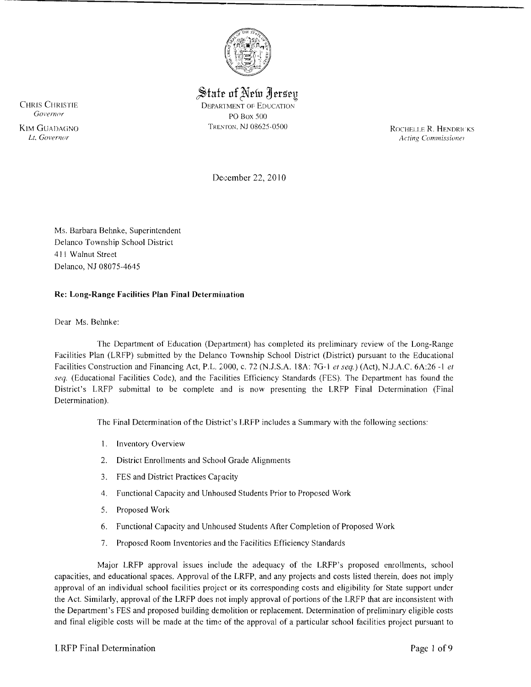

 $\operatorname{\mathsf{State}}$  of New Jersey CHRIS CHRISTIE DEPARTMENT OF EDUCATION COVERANT OF EXAMPLE DEPARTMENT OF EDUCATION *Governor* PO Box 500

ROCHELLE R. HENDRICKS Acting Commissioner

December 22, 2010

Ms. Barbara Behnke, Superintendent Delanco Township School District 411 Walnut Street Delanco, NJ 08075-4645

#### Re: Long-Range Facilities Plan Final Determination

Dear Ms. Behnke:

The Department of Education (Department) has completed its preliminary review of the Long-Range Facilities Plan (LRFP) submitted by the Delanco Township School District (District) pursuant to the Educational Facilities Construction and Financing Act, P.L. :;000, c. 72 (N.J.S.A. 18A: 7G-l *et seq.)* (Act), NJ.A.C. 6A:26 -I *el seq.* (Educational Facilities Code), and the Facilities Efficiency Standards (FES). The Department has found the District's LRFP submittal to be complete and is now presenting the LRFP Final Determination (Final Determination).

The Final Determination of the District's LRFP includes a Summary with the following sections:

- I. Inventory Overview
- 2. District Enrollments and School Grade Alignments
- 3. FES and District Practices Capacity
- 4. Functional Capacity and Unhoused Students Prior to Proposed Work
- 5. Proposed Work
- 6. Functional Capacity and Unhoused Students After Completion of Proposed Work
- 7. Proposed Room Inventories and the Facilities Efficiency Standards

Major LRFP approval issues include the adequacy of the LRFP's proposed enrollments, school capacities, and educational spaces. Approval of the LRFP, and any projects and costs listed therein, does not imply approval of an individual school facilities project or its corresponding costs and eligibility for State support under the Act. Similarly, approval of the LRFP does not imply approval of portions of the LRFP that are inconsistent with the Department's FES and proposed building demolition or replacement. Determination of preliminary eligible costs and final eligible costs will be made at the time of the approval of a particular school facilities project pursuant to

KIM GUADAGNO TRENTON. NJ 08625-0500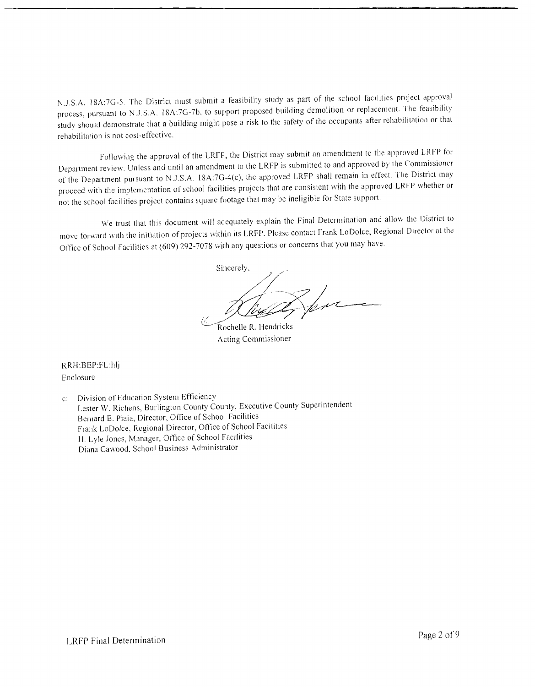N.J.S.A. 18A:7G-5. The District must submit a feasibility study as part of the school facilities project approval process, pursuant to N.J.S.A. 18A:7G-7b, to support proposed building demolition or replacement. The feasibility study should demonstrate that a building might pose a risk to the safety of the occupants after rehabilitation or that rehabilitation is not cost-effective.

Following the approval of the LRFP, the District may submit an amendment to the approved LR FP for Department review. Unless and until an amendment to the LRFP is submitted to and approved by the Commissioner of the Department pursuant to N.J.S.A. l8A:7G-4(c), the approved LRFP shall remain in effect. The District may proceed with the implementation of school facilities projects that are consistent with the approved LRFP whether or not the school facil ities project contains square footage that may be ineligible for State support.

We trust that this document will adequately explain the Fina] Determination and allow the District to move forward with the initiation of projects within its LRFP. Please contact Frank LoDolce, Regional Director at the Office of School Facilities at (609) 292-7078 with any questions or concerns that you may have.

Sincerely, *<i>Duy* Une

Acting Commissioner

RRH :BEP:FL:hlj Enclosure

c: Division of Education System Efficiency Lester W. Richens, Burlington County County, Executive County Superintendent Bernard E. Piaia, Director, Office of Schoo facilities Frank LoDolce, Regional Director, Office of School Facilities H. Lyle Jones, Manager, Office of School Facilities Diana Cawood. School Business Administrator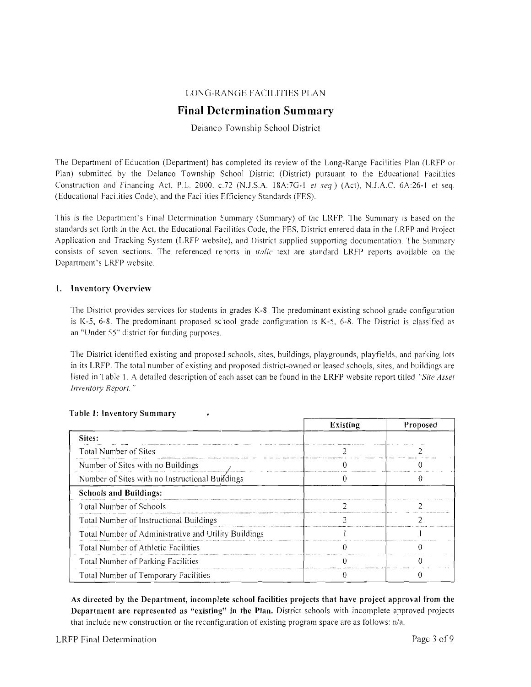## LONG-RANGE FACILITIES PLAN

# **Final Determination Summary**

## Delanco Township School District

The Department of Education (Department) has completed its review of the Long-Range Facilities Plan (LRFP or Plan) submitted by the Delanco Township School District (District) pursuant to the Educational Facilities Construction and Financing Act P.L. 2000, c.72 (N.J.S.A. 18A:7G-1 *ef seq.)* (Act), N.J.A.C. 6A:26-1 et seq. (Educational Facilities Code), and the Facilities Efficiency Standards (FES).

This is the Department's Final Determination Summary (Summary) of the LRFP. The Summary is based on the standards set forth in the Act, the Educational Facilities Code, the FES. District entered data in the LRFP and Project Application and Tracking System (LRFP website), and District supplied supporting documentation. The Summary consists of seven sections. The referenced reports in *italic* text are standard LRFP reports available on the Department's LRFP website.

#### 1. Inventory Overview

The District provides services for students in grades K-8. The predominant existing school grade configuration is K-5, 6-8. The predominant proposed school grade configuration is K-5, 6-8. The District is classified as an "Under 55" district for funding purposes.

The District identified existing and proposed schools, sites, buildings, playgrounds, playfields, and parking lots in its LRFP. The total number of existing and proposed district-owned or leased schools, sites, and buildings are listed in Table l. A detailed description of each asset can be found in the LRFP website report titled *"Site Asset Inventory Report. "* 

|                                                      | <b>Existing</b> | Proposed |
|------------------------------------------------------|-----------------|----------|
| Sites:                                               |                 |          |
| <b>Total Number of Sites</b>                         |                 |          |
| Number of Sites with no Buildings                    |                 |          |
| Number of Sites with no Instructional Buildings      |                 |          |
| <b>Schools and Buildings:</b>                        |                 |          |
| <b>Total Number of Schools</b>                       |                 |          |
| Total Number of Instructional Buildings              |                 |          |
| Total Number of Administrative and Utility Buildings |                 |          |
| Total Number of Athletic Facilities                  |                 |          |
| Total Number of Parking Facilities                   |                 |          |
| Total Number of Temporary Facilities                 |                 |          |

#### Table I: Inventory Summary

As directed by the Department, incomplete school facilities projects that have project approval from the Department are represented as "existing" in the Plan. District schools with incomplete approved projects that include new construction or the reconfiguration of existing program space are as follows: n/a.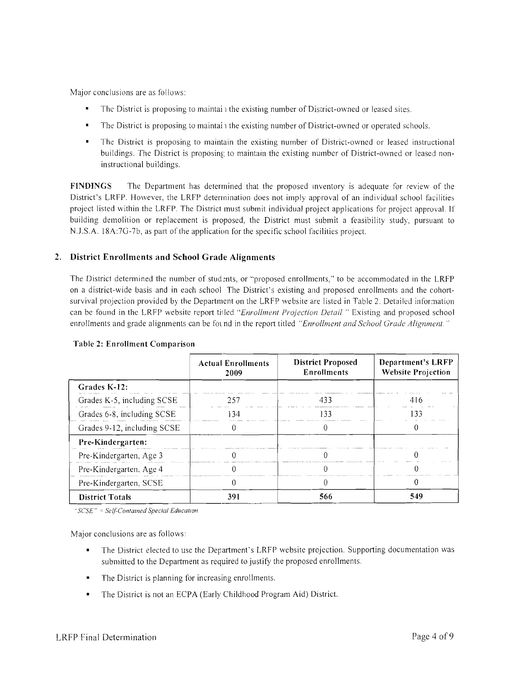Major conclusions are as follows:

- The District is proposing to maintai 1 the existing number of District-owned or leased sites.
- $\blacksquare$ The District is proposing to maintain the existing number of District-owned or operated schools.
- The District is proposing to maintain the existing number of District-owned or leased instructional buildings. The District is proposing to maintain the existing number of District-owned or leased noninstructional buildings.

**FINDINGS** The Department has determined that the proposed inventory is adequate for review of the District's LRFP. However, the LRFP determination does not imply approval of an individual school facilities project listed within the LRFP. The District must submit individual project applications for project approval. If building demolition or replacement is proposed, the District must submit a feasibility study, pursuant to N.J .S.A. 18A:7G-7b, as part of the application for the specific school facilities project.

## **2. District Em'ollments and School Grade Alignments**

The District determined the number of students, or "proposed enrollments," to be accommodated in the LRFP on a district-wide basis and in each school The District's existing and proposed enrollments and the cohortsurvival projection provided by the Department on the LRFP website are listed in Table 2. Detailed information can be found in the LRFP website report tided *"Enrollment Projection Delail* " Existing and proposed school enrollments and grade alignments can be fot nd in the report titled *"Enrollment and School Grade Alignment."* 

|                             | <b>Actual Enrollments</b><br>2009 | <b>District Proposed</b><br><b>Enrollments</b> | <b>Department's LRFP</b><br><b>Website Projection</b> |
|-----------------------------|-----------------------------------|------------------------------------------------|-------------------------------------------------------|
| Grades K-12:                |                                   |                                                |                                                       |
| Grades K-5, including SCSE  | 257                               | 433                                            | 416                                                   |
| Grades 6-8, including SCSE  | -34                               | 133                                            | 133                                                   |
| Grades 9-12, including SCSE |                                   |                                                |                                                       |
| Pre-Kindergarten:           |                                   |                                                |                                                       |
| Pre-Kindergarten, Age 3     |                                   |                                                |                                                       |
| Pre-Kindergarten, Age 4     |                                   |                                                |                                                       |
| Pre-Kindergarten, SCSE      |                                   |                                                |                                                       |
| <b>District Totals</b>      | 391                               | 566                                            | 549                                                   |

#### **Table 2: Enrollment Comparison**

"SCSE" = Self-Contained Special Education

Major conclusions are as follows:

- The District elected to use the Department's LRFP website projection. Supporting documentation was submitted to the Department as required to justify the proposed enrollments.
- The District is planning for increasing enrollments.
- The District is not an ECPA (Early Childhood Program Aid) District.  $\blacksquare$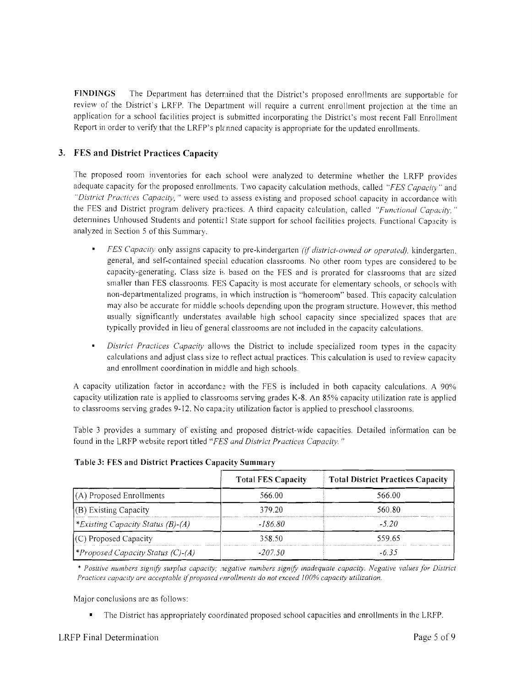FINDINGS The Department has determined that the District's proposed enrollments are supportable for review of the District's LRFP. The Department will require a current enrollment projection at the time an application for a school facilities project is submitted incorporating the District's most recent Fall Enrollment Report in order to verify that the LRFP's pIrnned capacity is appropriate for the updated enrollments.

# **3. FES and District Practices Capacity**

The proposed room inventories for each school were analyzed to determine whether the LRFP provides adequate capacity for the proposed enrollments. Two capacity calculation methods, called *"FES Capacity"* and *"District Practices Capacity,* " were used to assess existing and proposed school capacity in accordance with the FES and District program delivery practices. A third capacity calculation, called "Functional Capacity," determines Unhoused Students and potential State support for school facilities projects. Functional Capacity is analyzed in Section 5 of this Summary.

- *FES Capacity only assigns capacity to pre-kindergarten (if district-owned or operated), kindergarten,* general, and self-contained special education classrooms. No other room types are considered to be capacity-generating. Class size is based on the FES and is prorated for classrooms that are sized smaller than FES classrooms. FES Capacity is most accurate for elementary schools, or schools with non-departmentalized programs, in which instruction is "homeroom" based. This capacity calculation may also be accurate for middle schools depmding upon the program structure. However, this method usually significantly understates available high school capacity since specialized spaces that are typically provided in lieu of general classrooms are not included in the capacity calculations.
- *District Practices Capacity* allows the District to include specialized room types in the capacity calculations and adjust class size 10 retlect actual practices. This calculation is used to review capacity and enrollment coordination in middle and high schools.

A capacity utilization factor in accordance with the FES is included in both capacity calculations. A 90% capacity utilization rate is applied to classrooms serving grades K-8. An 85% capacity utilization rate is applied to classrooms serving grades 9-12. No capacity utilization factor is applied to preschool classrooms.

Table 3 provides a summary of existing and proposed district-wide capacities. Detailed information can be found in the LRFP website report titled "FES and District Practices Capacity."

|                                          | <b>Total FES Capacity</b> | <b>Total District Practices Capacity</b> |
|------------------------------------------|---------------------------|------------------------------------------|
| $(A)$ Proposed Enrollments               | 566.00                    | 566.00                                   |
| (B) Existing Capacity                    | 379.20                    | 560.80                                   |
| Existing Capacity Status (B)-(A)*        | $-186.80$                 | $-520$                                   |
| (C) Proposed Capacity                    | 358.50                    | 559.65                                   |
| <i>*Proposed Capacity Status (C)-(A)</i> | $-207.50$                 | -635                                     |

#### **Table 3: FES and District Practices Capacity Summary**

\* *Positive numbers signify surplus capacity; .1egative numbers* .I*ign*ifj' *inadequate capacity. Negative values for District Practices capacity are acceptable ijproposed enrollments do not exceed* 100% *capacity utilization.* 

Major conclusions are as follows:

 $\blacksquare$ The District has appropriately coordinated proposed school capacities and enrollments in the LRFP.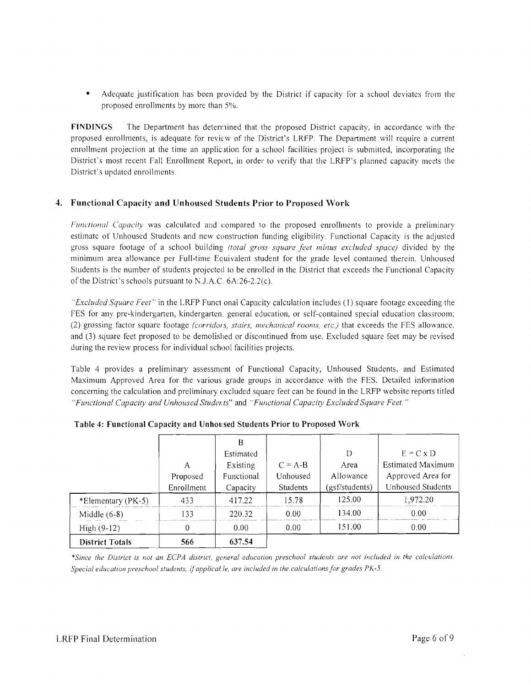Adequate justification has been provided by the District if capacity for a school deviates from the proposed enrollments by more than 5%.

**FINDINGS** The Department has deternined that the proposed District capacity, in accordance with the proposed enrollments, is adequate for review of the District's LRFP. The Department will require a current enrollment projection at the time an application for a school facilities project is submitted, incorporating the District's most recent Fall Enrollment Report, in order to verify that the LRFP's planned capacity meets the District's updated enrollments.

## **4. Functional Capacity and Unhoused Students Prior to Proposed Work**

*Functional Capacity* was calculated and compared to the proposed enrollments to provide a preliminary estimate of Unhoused Students and new construction funding eligibility. Functional Capacity is the adjusted gross square footage of a school building *(total gross square feet minus excluded space)* divided by the minimum area allowance per Full-time Equivalent student for the grade level contained therein. Unhoused Students is the number of students projected to be enrolled in the District that exceeds the Functional Capacity of the District's schools pursuant to N.J.A.C.  $6A:26-2.2(c)$ .

*"Excluded Square Feet"* in the LRFP Funct onal Capacity calculation includes (I) square footage exceeding the FES for any pre-kindergarten, kindergarten, general education, or self-contained special education classroom; (2) grossing factor square footage *(corridors, stairs, mechanical rooms, etc.)* that exceeds the FES allmvance, and (3) square feet proposed to be demolished or discontinued from use. Excluded square feet may be revised during the review process for individual school facilities projects.

Table 4 provides a preliminary assessment of Functional Capacity, Unhoused Students, and Estimated Maximum Approved Area for the various grade groups in accordance with the FES. Detailed information concerning the calculation and preliminary excluded square feet can be found in the LRFP website reports titled *"Functional Capacity and Unhoused Studel:ts"* and *"Functional Capacity Excluded Square Feet.* "

|                        |            | В          |           |                |                   |
|------------------------|------------|------------|-----------|----------------|-------------------|
|                        |            | Estimated  |           | D              | $E = C \times D$  |
|                        | А          | Existing   | $C = A-B$ | Area           | Estimated Maximum |
|                        | Proposed   | Functional | Unhoused  | Allowance      | Approved Area for |
|                        | Enrollment | Capacity   | Students  | (gsf/students) | Unhoused Students |
| *Elementary (PK-5)     | 433        | 417.22     | 15.78     | 125.00         | 1,972.20          |
| Middle $(6-8)$         | 133        | 220.32     | 0.00      | 134.00         | 0.00              |
| High (9-12)            | $\theta$   | 0.00       | 0.00      | 151.00         | 0.00              |
| <b>District Totals</b> | 566        | 637.54     |           |                |                   |

**Table 4: Functional Capacity and Unhou sed Students Prior to Proposed Work** 

\*Since the District is not an ECPA district, general education preschool students are not included in the calculations. *Special education preschool students,* if*applicatle. are included in the calculations for grades PK-5.*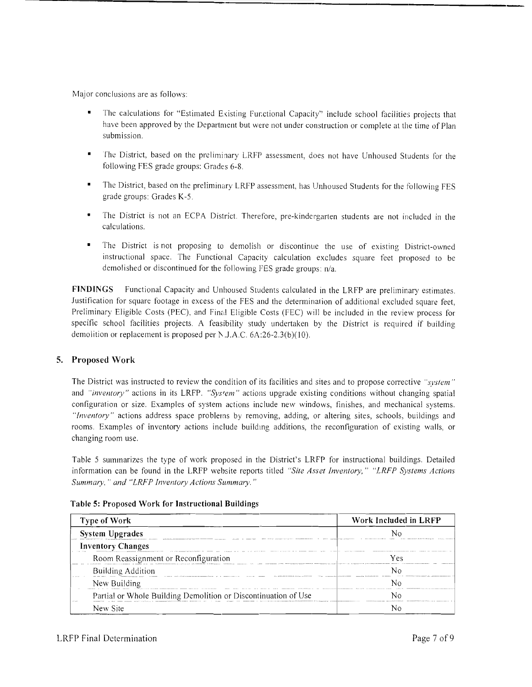Major conclusions are as follows:

- The calculations for "Estimated Existing Functional Capacity" include school facilities projects that have been approved by the Department but were not under construction or complete at the time of Plan submission.
- The District, based on the preliminary LRFP assessment, does not have Unhoused Students for the following FES grade groups: Grades 6-8.
- The District, based on the preliminary LRFP assessment, has Unhoused Students for the following FES grade groups: Grades K-S.
- The District is not an ECPA District. Therefore, pre-kindergarten students are not included in the calculations.
- The District is not proposing to demolish or discontinue the use of existing District-owned instructional space. The Functional Capacity calculation excludes square feet proposed to be demolished or discontinued for the following FES grade groups: n/a.

**FINDINGS** Functional Capacity and Unhoused Students calculated in the LRFP are preliminary estimates. Justification for square footage in excess of the FES and the determination of additional excluded square feet, Preliminary Eligible Costs (PEC), and Final Eligible Costs (FEC) will be included in the review process for specific school facilities projects. A feasibility study undertaken by the District is required if building demolition or replacement is proposed per N.J.A.C.  $6A:26-2.3(b)(10)$ .

## **5. Proposed Work**

The District was instructed to review the condition of its facilities and sites and to propose corrective "*system*" and *"inventory"* actions in its LRFP. *"System"* actions upgrade existing conditions without changing spatial configuration or size. Examples of system actions include new windows, finishes, and mechanical systems. *"Inventory"* actions address space problems by removing, adding, or altering sites, schools, buildings and rooms. Examples of inventory actions include buildmg additions, the reconfiguration of existing walls, or changing room use.

Table 5 summarizes the type of work proposed in the District's LRFP for instructional buildings. Detailed information can be found in the LRFP wehsite reports titled *"Site Asset Inventory," "LRFP Systems Actions Summary.* " *and "LRFP Inventory Actions Summary. "* 

| Type of Work                                                   | Work Included in LRFP         |  |  |
|----------------------------------------------------------------|-------------------------------|--|--|
| <b>System Upgrades</b>                                         |                               |  |  |
| <b>Inventory Changes</b>                                       |                               |  |  |
| Room Reassignment or Reconfiguration                           |                               |  |  |
| Building Addition                                              | approaches that the thirty of |  |  |
| New Building                                                   |                               |  |  |
| Partial or Whole Building Demolition or Discontinuation of Use |                               |  |  |
| New Site                                                       |                               |  |  |

**Table 5: Proposed Work for Instructional Buildings**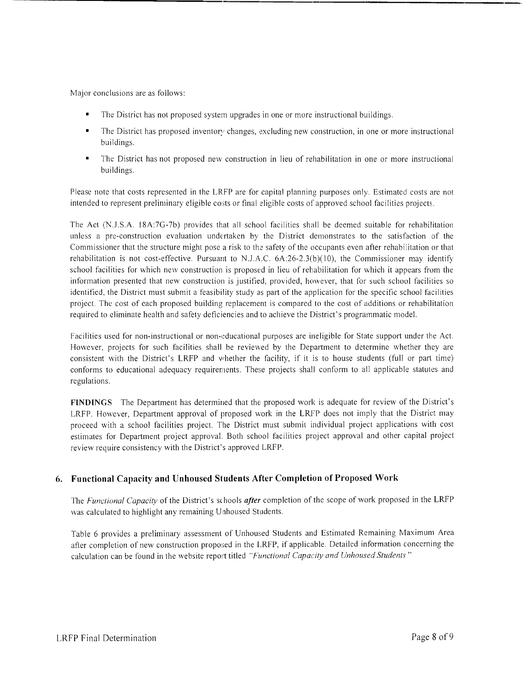Major conclusions are as follows:

- The District has not proposed system upgrades in one or more instructional buildings.
- The District has proposed inventory changes, excluding new construction, in one or more instructional buildings.
- The District has not proposed new construction in lieu of rehabilitation in one or more instructional buildings.

Please note that costs represented in the LRFP are for capital planning purposes only. Estimated costs are not intended to represent preliminary eligible costs or final eligible costs of approved school facilities projects.

The Act (N.J.S.A. 18A:7G-7b) provides that all school facilities shall be deemed suitable for rehabilitation unless a pre-construction evaluation undertaken by the District demonstrates to the satisfaction of the Commissioner that the structure might pose a risk to the safety of the occupants even after rehabilitation or that rehabilitation is not cost-effective. Pursuant to N.J.A.C. 6A:26-2.3(b)(10), the Commissioner may identify school facilities for which new construction is proposed in lieu of rehabilitation for which it appears from the information presented that new construction is justified, provided, however, that for such school facilities so identified, the District must submit a feasibility study as part of the application for the specific school facilities project. The cost of each proposed building replacement is compared to the cost of additions or rehabilitation required to eliminate health and safety deficiencies and to achieve the District's programmatic model.

Facilities used for non-instructional or non-educational purposes are ineligible for State support under the Act. However, projects for such facilities shall be reviewed by the Department to determine whether they are consistent with the District's LRFP and whether the facility, if it is to house students (full or part time) conforms to educational adequacy requirements. These projects shall conform to all applicable statutes and regulations.

**FINDINGS** The Department has determined that the proposed work is adequate for review of the District's LRFP. However, Department approval of proposed work in the LRFP does not imply that the District may proceed with a school facilities project. The District must submit individual project applications with cost estimates for Department project approval. Both school facilities project approval and other capital project review require consistency with the District's approved LRFP.

## **6. Functional Capacity and Unhoused Students After Completion** of Proposed **Work**

The *Functional Capacity* of the District's sc hools *after* completion of the scope of work proposed in the LRFP was calculated to highlight any remaining Unhoused Students.

Table 6 provides a preliminary assessment of Unhoused Students and Estimated Remaining Maximum Area after completion of new construction proposed in the LRFP, if applicable. Detailed information concerning the calculation can be found in the website report titled *"Functional Capacity and Unhoused Students"*